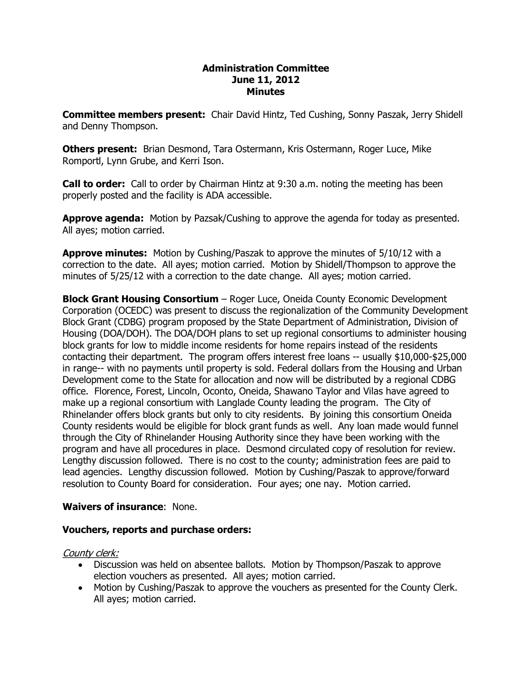#### **Administration Committee June 11, 2012 Minutes**

**Committee members present:**  Chair David Hintz, Ted Cushing, Sonny Paszak, Jerry Shidell and Denny Thompson.

**Others present:**  Brian Desmond, Tara Ostermann, Kris Ostermann, Roger Luce, Mike Romportl, Lynn Grube, and Kerri Ison.

**Call to order:**  Call to order by Chairman Hintz at 9:30 a.m. noting the meeting has been properly posted and the facility is ADA accessible.

**Approve agenda:** Motion by Pazsak/Cushing to approve the agenda for today as presented. All ayes; motion carried.

**Approve minutes:** Motion by Cushing/Paszak to approve the minutes of 5/10/12 with a correction to the date. All ayes; motion carried. Motion by Shidell/Thompson to approve the minutes of 5/25/12 with a correction to the date change. All ayes; motion carried.

**Block Grant Housing Consortium** – Roger Luce, Oneida County Economic Development Corporation (OCEDC) was present to discuss the regionalization of the Community Development Block Grant (CDBG) program proposed by the State Department of Administration, Division of Housing (DOA/DOH). The DOA/DOH plans to set up regional consortiums to administer housing block grants for low to middle income residents for home repairs instead of the residents contacting their department. The program offers interest free loans  $-$  usually \$10,000-\$25,000 in range-- with no payments until property is sold. Federal dollars from the Housing and Urban Development come to the State for allocation and now will be distributed by a regional CDBG office. Florence, Forest, Lincoln, Oconto, Oneida, Shawano Taylor and Vilas have agreed to make up a regional consortium with Langlade County leading the program. The City of Rhinelander offers block grants but only to city residents. By joining this consortium Oneida County residents would be eligible for block grant funds as well. Any loan made would funnel through the City of Rhinelander Housing Authority since they have been working with the program and have all procedures in place. Desmond circulated copy of resolution for review. Lengthy discussion followed. There is no cost to the county; administration fees are paid to lead agencies. Lengthy discussion followed. Motion by Cushing/Paszak to approve/forward resolution to County Board for consideration. Four ayes; one nay. Motion carried.

### **Waivers of insurance**: None.

### **Vouchers, reports and purchase orders:**

### County clerk:

- · Discussion was held on absentee ballots. Motion by Thompson/Paszak to approve election vouchers as presented. All ayes; motion carried.
- · Motion by Cushing/Paszak to approve the vouchers as presented for the County Clerk. All ayes; motion carried.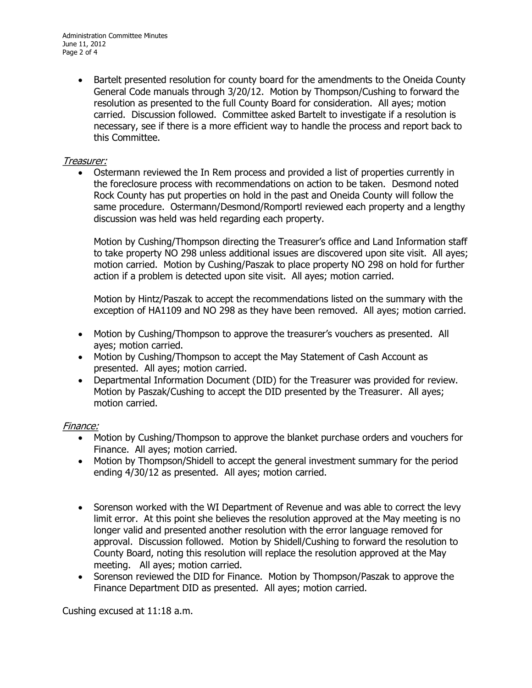· Bartelt presented resolution for county board for the amendments to the Oneida County General Code manuals through 3/20/12. Motion by Thompson/Cushing to forward the resolution as presented to the full County Board for consideration. All ayes; motion carried. Discussion followed. Committee asked Bartelt to investigate if a resolution is necessary, see if there is a more efficient way to handle the process and report back to this Committee.

# Treasurer:

Ostermann reviewed the In Rem process and provided a list of properties currently in the foreclosure process with recommendations on action to be taken. Desmond noted Rock County has put properties on hold in the past and Oneida County will follow the same procedure. Ostermann/Desmond/Romportl reviewed each property and a lengthy discussion was held was held regarding each property.

Motion by Cushing/Thompson directing the Treasurer's office and Land Information staff to take property NO 298 unless additional issues are discovered upon site visit. All ayes; motion carried. Motion by Cushing/Paszak to place property NO 298 on hold for further action if a problem is detected upon site visit. All ayes; motion carried.

Motion by Hintz/Paszak to accept the recommendations listed on the summary with the exception of HA1109 and NO 298 as they have been removed. All ayes; motion carried.

- · Motion by Cushing/Thompson to approve the treasurer's vouchers as presented. All ayes; motion carried.
- · Motion by Cushing/Thompson to accept the May Statement of Cash Account as presented. All ayes; motion carried.
- · Departmental Information Document (DID) for the Treasurer was provided for review. Motion by Paszak/Cushing to accept the DID presented by the Treasurer. All ayes; motion carried.

### Finance:

- · Motion by Cushing/Thompson to approve the blanket purchase orders and vouchers for Finance. All ayes; motion carried.
- · Motion by Thompson/Shidell to accept the general investment summary for the period ending 4/30/12 as presented. All ayes; motion carried.
- · Sorenson worked with the WI Department of Revenue and was able to correct the levy limit error. At this point she believes the resolution approved at the May meeting is no longer valid and presented another resolution with the error language removed for approval. Discussion followed. Motion by Shidell/Cushing to forward the resolution to County Board, noting this resolution will replace the resolution approved at the May meeting. All ayes; motion carried.
- · Sorenson reviewed the DID for Finance. Motion by Thompson/Paszak to approve the Finance Department DID as presented. All ayes; motion carried.

Cushing excused at 11:18 a.m.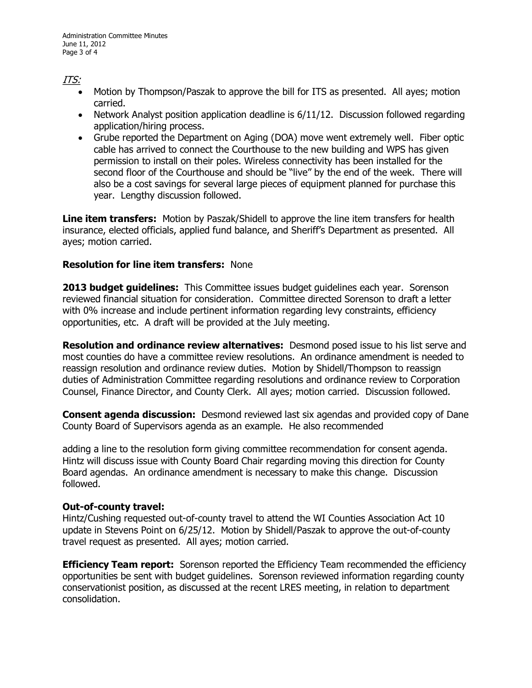# ITS:

- · Motion by Thompson/Paszak to approve the bill for ITS as presented. All ayes; motion carried.
- · Network Analyst position application deadline is 6/11/12. Discussion followed regarding application/hiring process.
- · Grube reported the Department on Aging (DOA) move went extremely well. Fiber optic cable has arrived to connect the Courthouse to the new building and WPS has given permission to install on their poles. Wireless connectivity has been installed for the second floor of the Courthouse and should be "live" by the end of the week. There will also be a cost savings for several large pieces of equipment planned for purchase this year. Lengthy discussion followed.

**Line item transfers:** Motion by Paszak/Shidell to approve the line item transfers for health insurance, elected officials, applied fund balance, and Sheriff's Department as presented. All ayes; motion carried.

# **Resolution for line item transfers:** None

**2013 budget guidelines:** This Committee issues budget guidelines each year. Sorenson reviewed financial situation for consideration. Committee directed Sorenson to draft a letter with 0% increase and include pertinent information regarding levy constraints, efficiency opportunities, etc. A draft will be provided at the July meeting.

**Resolution and ordinance review alternatives:** Desmond posed issue to his list serve and most counties do have a committee review resolutions. An ordinance amendment is needed to reassign resolution and ordinance review duties. Motion by Shidell/Thompson to reassign duties of Administration Committee regarding resolutions and ordinance review to Corporation Counsel, Finance Director, and County Clerk. All ayes; motion carried. Discussion followed.

**Consent agenda discussion:** Desmond reviewed last six agendas and provided copy of Dane County Board of Supervisors agenda as an example. He also recommended

adding a line to the resolution form giving committee recommendation for consent agenda. Hintz will discuss issue with County Board Chair regarding moving this direction for County Board agendas. An ordinance amendment is necessary to make this change. Discussion followed.

### **Out-of-county travel:**

Hintz/Cushing requested out-of-county travel to attend the WI Counties Association Act 10 update in Stevens Point on 6/25/12. Motion by Shidell/Paszak to approve the out-of-county travel request as presented. All ayes; motion carried.

**Efficiency Team report:** Sorenson reported the Efficiency Team recommended the efficiency opportunities be sent with budget guidelines. Sorenson reviewed information regarding county conservationist position, as discussed at the recent LRES meeting, in relation to department consolidation.